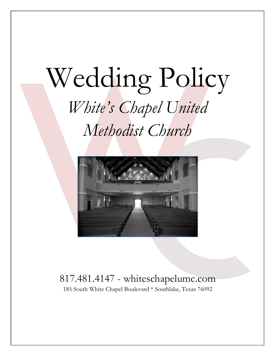# Wedding Policy *White's Chapel United Methodist Church*



## 817.481.4147 - whiteschapelumc.com

185 South White Chapel Boulevard \* Southlake, Texas 76092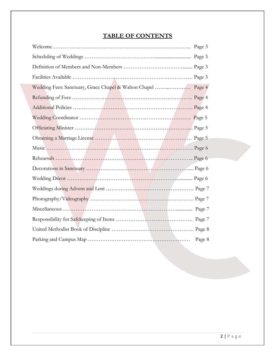### **TABLE OF CONTENTS**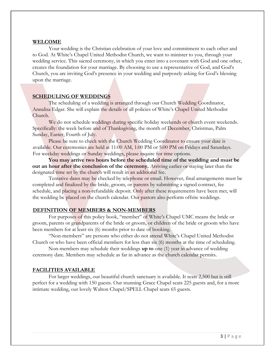#### **WELCOME**

Your wedding is the Christian celebration of your love and commitment to each other and to God. At White's Chapel United Methodist Church, we want to minister to you, through your wedding service. This sacred ceremony, in which you enter into a covenant with God and one other, creates the foundation for your marriage. By choosing to use a representative of God, and God's Church, you are inviting God's presence in your wedding and purposely asking for God's blessing upon the marriage.

#### **SCHEDULING OF WEDDINGS**

The scheduling of a wedding is arranged through our Church Wedding Coordinator, Annalisa Edgar. She will explain the details of all policies of White's Chapel United Methodist Church.

We do not schedule weddings during specific holiday weekends or church event weekends. Specifically: the week before and of Thanksgiving, the month of December, Christmas, Palm Sunday, Easter, Fourth of July.

Please be sure to check with the Church Wedding Coordinator to ensure your date is available. Our ceremonies are held at 11:00 AM, 1:00 PM or 5:00 PM on Fridays and Saturdays. For weekday weddings or Sunday weddings, please inquire for time options.

**You may arrive two hours before the scheduled time of the wedding and must be out an hour after the conclusion of the ceremony.** Arriving earlier or staying later than the designated time set by the church will result in an additional fee.

Tentative dates may be checked by telephone or email. However, final arrangements must be completed and finalized by the bride, groom, or parents by submitting a signed contract, fee schedule, and placing a non-refundable deposit. Only after these requirements have been met, will the wedding be placed on the church calendar. Our pastors also perform offsite weddings.

#### **DEFINITION OF MEMBERS & NON-MEMBERS**

For purposes of this policy book, "member" of White's Chapel UMC means the bride or groom, parents or grandparents of the bride or groom, or children of the bride or groom who have been members for at least six (6) months prior to date of booking.

"Non-members" are persons who either do not attend White's Chapel United Methodist Church or who have been official members for less than six (6) months at the time of scheduling.

Non-members may schedule their weddings **up to** one (1) year in advance of wedding ceremony date. Members may schedule as far in advance as the church calendar permits.

#### **FACILITIES AVAILABLE**

For larger weddings, our beautiful church sanctuary is available. It seats 2,500 but is still perfect for a wedding with 150 guests. Our stunning Grace Chapel seats 225 guests and, for a more intimate wedding, our lovely Walton Chapel/SPELL Chapel seats 65 guests.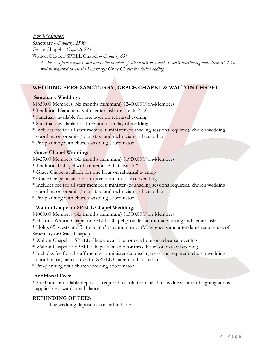#### *For Weddings:*

Sanctuary - *Capacity: 2500* Grace Chapel – *Capacity 225* Walton Chapel/SPELL Chapel – *Capacity 65\** 

*\* This is a firm number and limits the number of attendants to 3 each. Guests numbering more than 65 total will be required to use the Sanctuary/Grace Chapel for their wedding.* 

#### **WEDDING FEES: SANCTUARY, GRACE CHAPEL & WALTON CHAPEL**

#### **Sanctuary Wedding:**

\$1850.00 Members (Six months minimum) \$2400.00 Non-Members

- \* Traditional Sanctuary with center aisle that seats 2500
- \* Sanctuary available for one hour on rehearsal evening
- \* Sanctuary available for three hours on day of wedding
- \* Includes fee for all staff members: minister (counseling sessions required), church wedding coordinator, organist/pianist, sound technician and custodian
- \* Pre-planning with church wedding coordinator

#### **Grace Chapel Wedding:**

- \$1425.00 Members (Six months minimum) \$1950.00 Non-Members
- \* Traditional Chapel with center aisle that seats 225
- \* Grace Chapel available for one hour on rehearsal evening
- \* Grace Chapel available for three hours on day of wedding
- \* Includes fee for all staff members: minister (counseling sessions required), church wedding coordinator, organist/pianist, sound technician and custodian
- \* Pre-planning with church wedding coordinator

#### **Walton Chapel or SPELL Chapel Wedding:**

\$1000.00 Members (Six months minimum) \$1500.00 Non-Members

\* Historic Walton Chapel or SPELL Chapel provides an intimate setting and center aisle

\* Holds 65 guests and 3 attendants' maximum each (More guests and attendants require use of Sanctuary or Grace Chapel)

- \* Walton Chapel or SPELL Chapel available for one hour on rehearsal evening
- \* Walton Chapel or SPELL Chapel available for three hours on day of wedding
- \* Includes fee for all staff members: minister (counseling sessions required), church wedding coordinator, pianist (n/a for SPELL Chapel) and custodian
- \* Pre-planning with church wedding coordinator

#### **Additional Fees:**

\* \$500 non-refundable deposit is required to hold the date. This is due at time of signing and is applicable towards the balance.

#### **REFUNDING OF FEES**

The wedding deposit is non-refundable.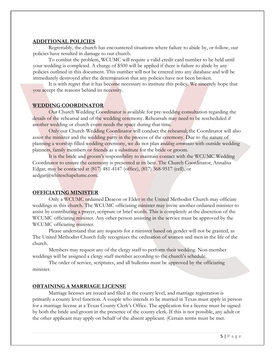#### **ADDITIONAL POLICIES**

Regrettably, the church has encountered situations where failure to abide by, or follow, our policies have resulted in damage to our church.

To combat the problem, WCUMC will require a valid credit card number to be held until your wedding is completed. A charge of \$500 will be applied if there is failure to abide by any policies outlined in this document. This number will not be entered into any database and will be immediately destroyed after the determination that any policies have not been broken.

It is with regret that it has become necessary to institute this policy. We sincerely hope that you accept the reasons behind its necessity.

#### **WEDDING COORDINATOR**

Our Church Wedding Coordinator is available for pre-wedding consultation regarding the details of the rehearsal and of the wedding ceremony. Rehearsals may need to be rescheduled if another wedding or church event needs the space during that time.

Only our Church Wedding Coordinator will conduct the rehearsal; the Coordinator will also assist the minister and the wedding party in the process of the ceremony. Due to the nature of planning a worship-filled wedding ceremony, we do not plan *wedding ceremonies* with outside wedding planners, family members or friends as a substitute for the bride or groom.

It is the bride and groom's responsibility to maintain contact with the WCUMC Wedding Coordinator to ensure the ceremony is presented at its best. The Church Coordinator, Annalisa Edgar, may be contacted at (817) 481-4147 (office), (817) 368-9517 (cell), or aedgar@whiteschapelumc.com.

#### **OFFICIATING MINISTER**

Only a WCUMC ordained Deacon or Elder in the United Methodist Church may officiate weddings in this church. The WCUMC officiating minister may invite another ordained minister to assist by contributing a prayer, scripture or brief words. This is completely at the discretion of the WCUMC officiating minister. Any other person assisting in the service must be approved by the WCUMC officiating minister.

Please understand that any requests for a minister based on gender will not be granted, as The United Methodist Church fully recognizes the ordination of women and men in the life of the church.

Members may request any of the clergy staff to perform their wedding. Non-member weddings will be assigned a clergy staff member according to the church's schedule.

The order of service, scriptures, and all bulletins must be approved by the officiating minister.

#### **OBTAINING A MARRIAGE LICENSE**

Marriage licenses are issued and filed at the county level, and marriage registration is primarily a county level function. A couple who intends to be married in Texas must apply in person for a marriage license at a Texas County Clerk's Office. The application for a license must be signed by both the bride and groom in the presence of the county clerk. If this is not possible, any adult or the other applicant may apply on behalf of the absent applicant. (Certain terms must be met.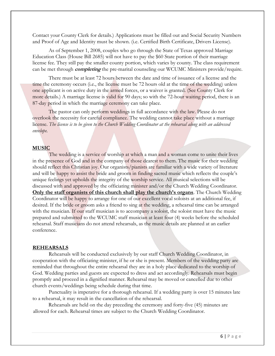Contact your County Clerk for details.) Applications must be filled out and Social Security Numbers and Proof of Age and Identity must be shown. (i.e. Certified Birth Certificate, Drivers License).

As of September 1, 2008, couples who go through the State of Texas approved Marriage Education Class (House Bill 2685) will not have to pay the \$60 State portion of their marriage license fee. They still pay the smaller county portion, which varies by county. The class requirement can be met through **completing** the pre-marital counseling our WCUMC Ministers provide/require.

There must be at least 72 hours between the date and time of issuance of a license and the time the ceremony occurs (i.e., the license must be 72 hours old at the time of the wedding) unless one applicant is on active duty in the armed forces, or a waiver is granted. (See County Clerk for more details.) A marriage license is valid for 90 days; so with the 72-hour waiting period, there is an 87-day period in which the marriage ceremony can take place.

The pastor can only perform weddings in full accordance with the law. Please do not overlook the necessity for careful compliance. The wedding cannot take place without a marriage license. *The license is to be given to the Church Wedding Coordinator at the rehearsal along with an addressed envelope.* 

#### **MUSIC**

The wedding is a service of worship at which a man and a woman come to unite their lives in the presence of God and in the company of those dearest to them. The music for their wedding should reflect this Christian joy. Our organists/pianists are familiar with a wide variety of literature and will be happy to assist the bride and groom in finding sacred music which reflects the couple's unique feelings yet upholds the integrity of the worship service. All musical selections will be discussed with and approved by the officiating minister and/or the Church Wedding Coordinator. **Only the staff organists of this church shall play the church's organs**. The Church Wedding Coordinator will be happy to arrange for one of our excellent vocal soloists at an additional fee, if desired. If the bride or groom asks a friend to sing at the wedding, a rehearsal time can be arranged with the musician. If our staff musician is to accompany a soloist, the soloist must have the music prepared and submitted to the WCUMC staff musician at least four (4) weeks before the scheduled rehearsal. Staff musicians do not attend rehearsals, as the music details are planned at an earlier conference.

#### **REHEARSALS**

Rehearsals will be conducted exclusively by our staff Church Wedding Coordinator, in cooperation with the officiating minister, if he or she is present. Members of the wedding party are reminded that throughout the entire rehearsal they are in a holy place dedicated to the worship of God. Wedding parties and guests are expected to dress and act accordingly. Rehearsals must begin promptly and proceed in a dignified manner. Rehearsal may be moved or cancelled due to other church events/weddings being schedule during that time.

Punctuality is imperative for a thorough rehearsal. If a wedding party is over 15 minutes late to a rehearsal, it may result in the cancellation of the rehearsal.

Rehearsals are held on the day preceding the ceremony and forty-five (45) minutes are allowed for each. Rehearsal times are subject to the Church Wedding Coordinator.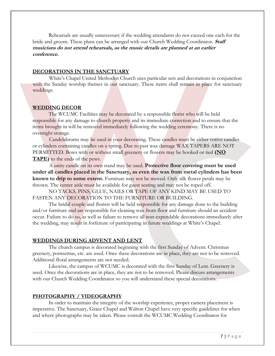Rehearsals are usually unnecessary if the wedding attendants do not exceed one each for the bride and groom. These plans can be arranged with our Church Wedding Coordinator. **Staff musicians do not attend rehearsals, as the music details are planned at an earlier conference.** 

#### **DECORATIONS IN THE SANCTUARY**

White's Chapel United Methodist Church uses particular sets and decorations in conjunction with the Sunday worship themes in our sanctuary. These items shall remain in place for sanctuary weddings.

#### **WEDDING DECOR**

The WCUMC Facilities may be decorated by a responsible florist who will be held responsible for any damage to church property and its immediate correction and to ensure that the items brought in will be removed immediately following the wedding ceremony. There is no overnight storage.

Candelabrums may be used in your decorating. These candles must be either votive candles or cylinders containing candles on a spring. Due to past wax damage WAX TAPERS ARE NOT PERMITTED. Bows with or without small greenery or flowers may be hooked or tied **(NO TAPE)** to the ends of the pews.

A unity candle on its own stand may be used. **Protective floor covering must be used under all candles placed in the Sanctuary, as even the wax from metal cylinders has been known to drip to some extent.** Furniture may not be moved. Only silk flower petals may be thrown. The center aisle must be available for guest seating and may not be roped off.

NO TACKS, PINS, GLUE, NAILS OR TAPE OF ANY KIND MAY BE USED TO FASTEN ANY DECORATION TO THE FURNITURE OR BUILDING.

The bridal couple and florists will be held responsible for any damage done to the building and/or furniture and are responsible for cleaning wax from floor and furniture should an accident occur. Failure to do so, as well as failure to remove all non-expendable decorations immediately after the wedding, may result in forfeiture of participating in future weddings at White's Chapel.

#### **WEDDINGS DURING ADVENT AND LENT**

The church campus is decorated beginning with the first Sunday of Advent. Christmas greenery, poinsettias, etc. are used. Once these decorations are in place, they are not to be removed. Additional floral arrangements are not needed.

Likewise, the campus of WCUMC is decorated with the first Sunday of Lent. Greenery is used. Once the decorations are in place, they are not to be removed. Please discuss arrangements with our Church Wedding Coordinator so you will understand these special decorations.

#### **PHOTOGRAPHY / VIDEOGRAPHY**

In order to maintain the integrity of the worship experience, proper camera placement is imperative. The Sanctuary, Grace Chapel and Walton Chapel have very specific guidelines for when and where photographs may be taken. Please consult the WCUMC Wedding Coordinator for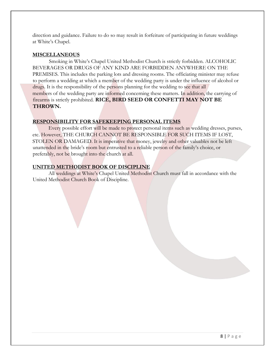direction and guidance. Failure to do so may result in forfeiture of participating in future weddings at White's Chapel.

#### **MISCELLANEOUS**

Smoking in White's Chapel United Methodist Church is strictly forbidden. ALCOHOLIC BEVERAGES OR DRUGS OF ANY KIND ARE FORBIDDEN ANYWHERE ON THE PREMISES. This includes the parking lots and dressing rooms. The officiating minister may refuse to perform a wedding at which a member of the wedding party is under the influence of alcohol or drugs. It is the responsibility of the persons planning for the wedding to see that all members of the wedding party are informed concerning these matters. In addition, the carrying of firearms is strictly prohibited. **RICE, BIRD SEED OR CONFETTI MAY NOT BE THROWN.**

#### **RESPONSIBILITY FOR SAFEKEEPING PERSONAL ITEMS**

Every possible effort will be made to protect personal items such as wedding dresses, purses, etc. However, THE CHURCH CANNOT BE RESPONSIBLE FOR SUCH ITEMS IF LOST, STOLEN OR DAMAGED. It is imperative that money, jewelry and other valuables not be left unattended in the bride's room but entrusted to a reliable person of the family's choice, or preferably, not be brought into the church at all.

#### **UNITED METHODIST BOOK OF DISCIPLINE**

All weddings at White's Chapel United Methodist Church must fall in accordance with the United Methodist Church Book of Discipline.